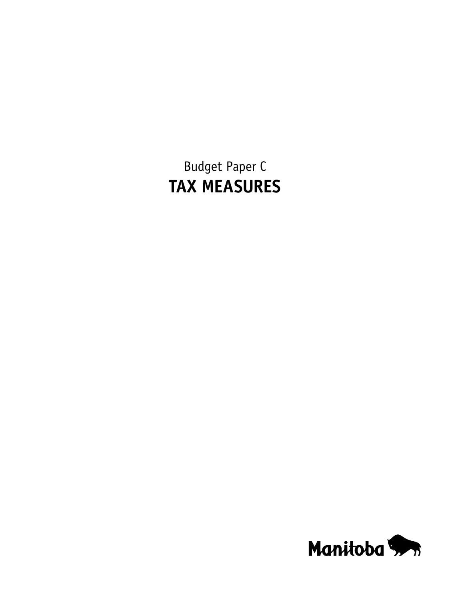Budget Paper C **TAX MEASURES**

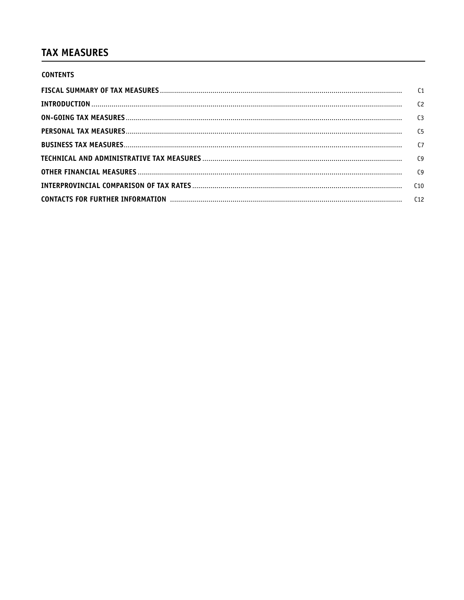# **TAX MEASURES**

| <b>CONTENTS</b> |  |
|-----------------|--|
|                 |  |
|                 |  |
|                 |  |
|                 |  |
|                 |  |
|                 |  |
|                 |  |
|                 |  |
|                 |  |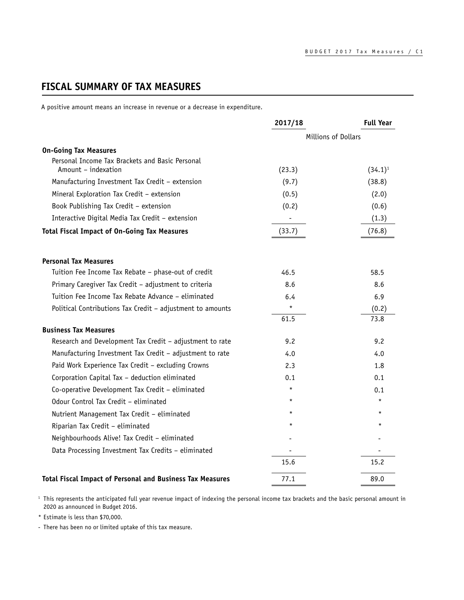# <span id="page-2-0"></span>**FISCAL SUMMARY OF TAX MEASURES**

A positive amount means an increase in revenue or a decrease in expenditure.

|                                                            | 2017/18 | <b>Full Year</b>    |  |
|------------------------------------------------------------|---------|---------------------|--|
|                                                            |         | Millions of Dollars |  |
| <b>On-Going Tax Measures</b>                               |         |                     |  |
| Personal Income Tax Brackets and Basic Personal            |         |                     |  |
| Amount - indexation                                        | (23.3)  | $(34.1)^1$          |  |
| Manufacturing Investment Tax Credit - extension            | (9.7)   | (38.8)              |  |
| Mineral Exploration Tax Credit - extension                 | (0.5)   | (2.0)               |  |
| Book Publishing Tax Credit - extension                     | (0.2)   | (0.6)               |  |
| Interactive Digital Media Tax Credit - extension           |         | (1.3)               |  |
| <b>Total Fiscal Impact of On-Going Tax Measures</b>        | (33.7)  | (76.8)              |  |
| <b>Personal Tax Measures</b>                               |         |                     |  |
| Tuition Fee Income Tax Rebate - phase-out of credit        | 46.5    | 58.5                |  |
| Primary Caregiver Tax Credit - adjustment to criteria      | 8.6     | 8.6                 |  |
| Tuition Fee Income Tax Rebate Advance – eliminated         | 6.4     | 6.9                 |  |
| Political Contributions Tax Credit - adjustment to amounts | $\star$ | (0.2)               |  |
|                                                            | 61.5    | 73.8                |  |
| <b>Business Tax Measures</b>                               |         |                     |  |
| Research and Development Tax Credit - adjustment to rate   | 9.2     | 9.2                 |  |
| Manufacturing Investment Tax Credit - adjustment to rate   | 4.0     | 4.0                 |  |
| Paid Work Experience Tax Credit - excluding Crowns         | 2.3     | 1.8                 |  |
| Corporation Capital Tax - deduction eliminated             | 0.1     | 0.1                 |  |
| Co-operative Development Tax Credit - eliminated           | $\star$ | 0.1                 |  |
| Odour Control Tax Credit - eliminated                      | $\star$ | $\star$             |  |
| Nutrient Management Tax Credit - eliminated                | $\star$ | $\star$             |  |
| Riparian Tax Credit - eliminated                           | $\star$ | $\star$             |  |
| Neighbourhoods Alive! Tax Credit - eliminated              |         |                     |  |
| Data Processing Investment Tax Credits - eliminated        |         |                     |  |
|                                                            | 15.6    | 15.2                |  |
| Total Fiscal Impact of Personal and Business Tax Measures  | 77.1    | 89.0                |  |

<sup>1</sup> This represents the anticipated full year revenue impact of indexing the personal income tax brackets and the basic personal amount in 2020 as announced in Budget 2016.

\* Estimate is less than \$70,000.

- There has been no or limited uptake of this tax measure.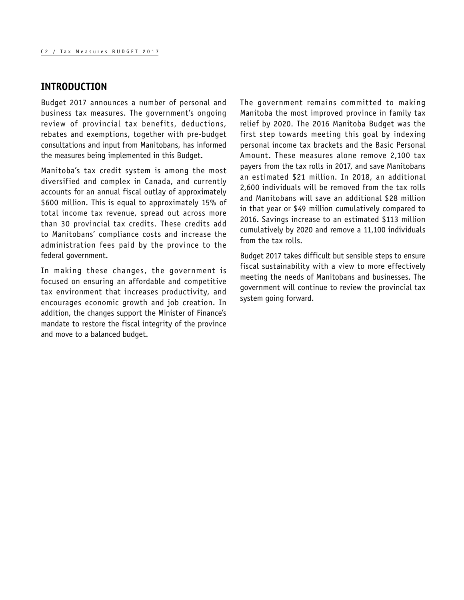### <span id="page-3-0"></span>**INTRODUCTION**

Budget 2017 announces a number of personal and business tax measures. The government's ongoing review of provincial tax benefits, deductions, rebates and exemptions, together with pre-budget consultations and input from Manitobans, has informed the measures being implemented in this Budget.

Manitoba's tax credit system is among the most diversified and complex in Canada, and currently accounts for an annual fiscal outlay of approximately \$600 million. This is equal to approximately 15% of total income tax revenue, spread out across more than 30 provincial tax credits. These credits add to Manitobans' compliance costs and increase the administration fees paid by the province to the federal government.

In making these changes, the government is focused on ensuring an affordable and competitive tax environment that increases productivity, and encourages economic growth and job creation. In addition, the changes support the Minister of Finance's mandate to restore the fiscal integrity of the province and move to a balanced budget.

The government remains committed to making Manitoba the most improved province in family tax relief by 2020. The 2016 Manitoba Budget was the first step towards meeting this goal by indexing personal income tax brackets and the Basic Personal Amount. These measures alone remove 2,100 tax payers from the tax rolls in 2017, and save Manitobans an estimated \$21 million. In 2018, an additional 2,600 individuals will be removed from the tax rolls and Manitobans will save an additional \$28 million in that year or \$49 million cumulatively compared to 2016. Savings increase to an estimated \$113 million cumulatively by 2020 and remove a 11,100 individuals from the tax rolls.

Budget 2017 takes difficult but sensible steps to ensure fiscal sustainability with a view to more effectively meeting the needs of Manitobans and businesses. The government will continue to review the provincial tax system going forward.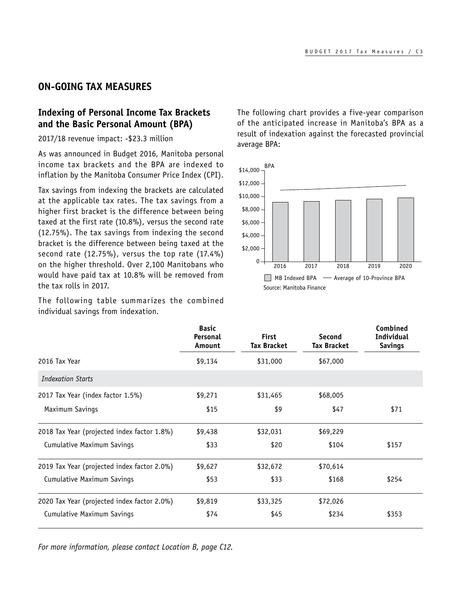### <span id="page-4-0"></span>**ON-GOING TAX MEASURES**

# **Indexing of Personal Income Tax Brackets and the Basic Personal Amount (BPA)**

2017/18 revenue impact: -\$23.3 million

As was announced in Budget 2016, Manitoba personal income tax brackets and the BPA are indexed to inflation by the Manitoba Consumer Price Index (CPI).

Tax savings from indexing the brackets are calculated at the applicable tax rates. The tax savings from a higher first bracket is the difference between being taxed at the first rate (10.8%), versus the second rate (12.75%). The tax savings from indexing the second bracket is the difference between being taxed at the second rate (12.75%), versus the top rate (17.4%) on the higher threshold. Over 2,100 Manitobans who would have paid tax at 10.8% will be removed from the tax rolls in 2017.

The following table summarizes the combined individual savings from indexation.

The following chart provides a five-year comparison of the anticipated increase in Manitoba's BPA as a result of indexation against the forecasted provincial average BPA:



|                                             | <b>Basic</b><br>Personal<br>Amount | <b>First</b><br><b>Tax Bracket</b> | Second<br><b>Tax Bracket</b> | Combined<br><b>Individual</b><br><b>Savings</b> |
|---------------------------------------------|------------------------------------|------------------------------------|------------------------------|-------------------------------------------------|
| 2016 Tax Year                               | \$9,134                            | \$31,000                           | \$67,000                     |                                                 |
| <b>Indexation Starts</b>                    |                                    |                                    |                              |                                                 |
| 2017 Tax Year (index factor 1.5%)           | \$9,271                            | \$31,465                           | \$68,005                     |                                                 |
| Maximum Savings                             | \$15                               | \$9                                | \$47                         | \$71                                            |
| 2018 Tax Year (projected index factor 1.8%) | \$9,438                            | \$32,031                           | \$69,229                     |                                                 |
| Cumulative Maximum Savings                  | \$33                               | \$20                               | \$104                        | \$157                                           |
| 2019 Tax Year (projected index factor 2.0%) | \$9,627                            | \$32,672                           | \$70,614                     |                                                 |
| Cumulative Maximum Savings                  | \$53                               | \$33                               | \$168                        | \$254                                           |
| 2020 Tax Year (projected index factor 2.0%) | \$9,819                            | \$33,325                           | \$72,026                     |                                                 |
| Cumulative Maximum Savings                  | \$74                               | \$45                               | \$234                        | \$353                                           |

*For more information, please contact Location B, page [C12.](#page-13-1)*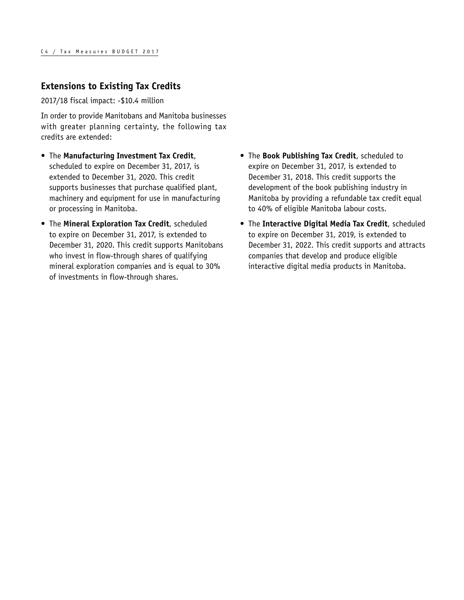## **Extensions to Existing Tax Credits**

2017/18 fiscal impact: -\$10.4 million

In order to provide Manitobans and Manitoba businesses with greater planning certainty, the following tax credits are extended:

- The **Manufacturing Investment Tax Credit**, scheduled to expire on December 31, 2017, is extended to December 31, 2020. This credit supports businesses that purchase qualified plant, machinery and equipment for use in manufacturing or processing in Manitoba.
- The **Mineral Exploration Tax Credit**, scheduled to expire on December 31, 2017, is extended to December 31, 2020. This credit supports Manitobans who invest in flow-through shares of qualifying mineral exploration companies and is equal to 30% of investments in flow-through shares.
- The **Book Publishing Tax Credit**, scheduled to expire on December 31, 2017, is extended to December 31, 2018. This credit supports the development of the book publishing industry in Manitoba by providing a refundable tax credit equal to 40% of eligible Manitoba labour costs.
- The **Interactive Digital Media Tax Credit**, scheduled to expire on December 31, 2019, is extended to December 31, 2022. This credit supports and attracts companies that develop and produce eligible interactive digital media products in Manitoba.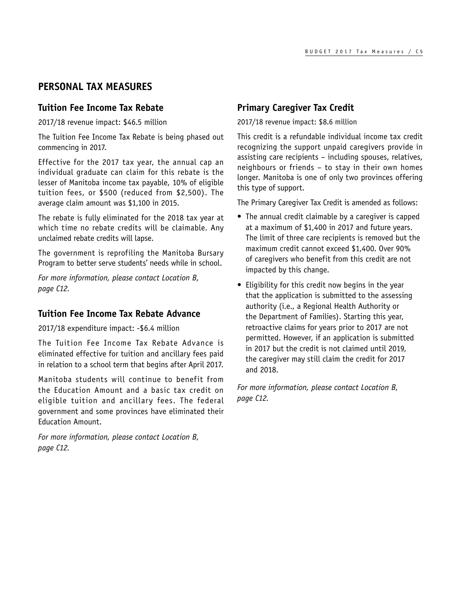# <span id="page-6-0"></span>**PERSONAL TAX MEASURES**

### **Tuition Fee Income Tax Rebate**

2017/18 revenue impact: \$46.5 million

The Tuition Fee Income Tax Rebate is being phased out commencing in 2017.

Effective for the 2017 tax year, the annual cap an individual graduate can claim for this rebate is the lesser of Manitoba income tax payable, 10% of eligible tuition fees, or \$500 (reduced from \$2,500). The average claim amount was \$1,100 in 2015.

The rebate is fully eliminated for the 2018 tax year at which time no rebate credits will be claimable. Any unclaimed rebate credits will lapse.

The government is reprofiling the Manitoba Bursary Program to better serve students' needs while in school.

*For more information, please contact Location B, page [C12.](#page-13-1)*

### **Tuition Fee Income Tax Rebate Advance**

2017/18 expenditure impact: -\$6.4 million

The Tuition Fee Income Tax Rebate Advance is eliminated effective for tuition and ancillary fees paid in relation to a school term that begins after April 2017.

Manitoba students will continue to benefit from the Education Amount and a basic tax credit on eligible tuition and ancillary fees. The federal government and some provinces have eliminated their Education Amount.

*For more information, please contact Location B, page [C12.](#page-13-1)*

## **Primary Caregiver Tax Credit**

2017/18 revenue impact: \$8.6 million

This credit is a refundable individual income tax credit recognizing the support unpaid caregivers provide in assisting care recipients – including spouses, relatives, neighbours or friends – to stay in their own homes longer. Manitoba is one of only two provinces offering this type of support.

The Primary Caregiver Tax Credit is amended as follows:

- The annual credit claimable by a caregiver is capped at a maximum of \$1,400 in 2017 and future years. The limit of three care recipients is removed but the maximum credit cannot exceed \$1,400. Over 90% of caregivers who benefit from this credit are not impacted by this change.
- Eligibility for this credit now begins in the year that the application is submitted to the assessing authority (i.e., a Regional Health Authority or the Department of Families). Starting this year, retroactive claims for years prior to 2017 are not permitted. However, if an application is submitted in 2017 but the credit is not claimed until 2019, the caregiver may still claim the credit for 2017 and 2018.

*For more information, please contact Location B, page [C12.](#page-13-1)*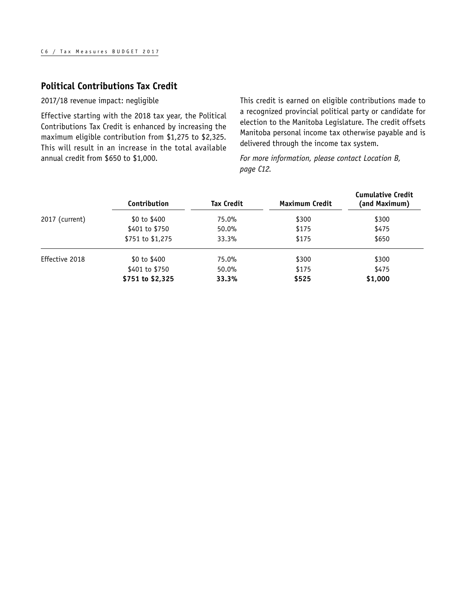### **Political Contributions Tax Credit**

2017/18 revenue impact: negligible

Effective starting with the 2018 tax year, the Political Contributions Tax Credit is enhanced by increasing the maximum eligible contribution from \$1,275 to \$2,325. This will result in an increase in the total available annual credit from \$650 to \$1,000.

This credit is earned on eligible contributions made to a recognized provincial political party or candidate for election to the Manitoba Legislature. The credit offsets Manitoba personal income tax otherwise payable and is delivered through the income tax system.

*For more information, please contact Location B, page [C12](#page-13-1).*

|                | Contribution     | <b>Tax Credit</b> | <b>Maximum Credit</b> | <b>Cumulative Credit</b><br>(and Maximum) |
|----------------|------------------|-------------------|-----------------------|-------------------------------------------|
| 2017 (current) | \$0 to \$400     | 75.0%             | \$300                 | \$300                                     |
|                | \$401 to \$750   | $50.0\%$          | \$175                 | \$475                                     |
|                | \$751 to \$1,275 | 33.3%             | \$175                 | \$650                                     |
| Effective 2018 | \$0 to \$400     | 75.0%             | \$300                 | \$300                                     |
|                | \$401 to \$750   | $50.0\%$          | \$175                 | \$475                                     |
|                | \$751 to \$2,325 | 33.3%             | \$525                 | \$1,000                                   |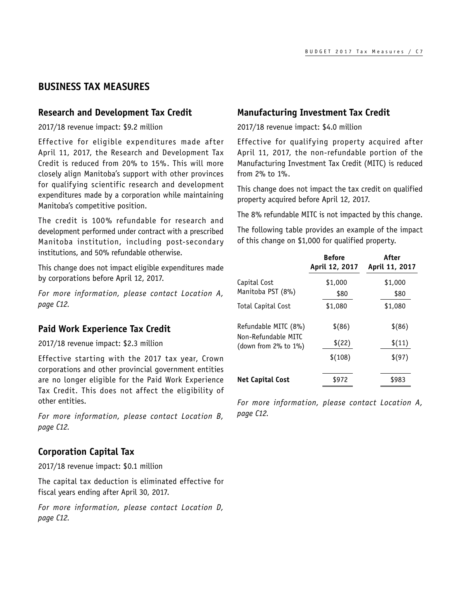### <span id="page-8-0"></span>**BUSINESS TAX MEASURES**

#### **Research and Development Tax Credit**

2017/18 revenue impact: \$9.2 million

Effective for eligible expenditures made after April 11, 2017, the Research and Development Tax Credit is reduced from 20% to 15%. This will more closely align Manitoba's support with other provinces for qualifying scientific research and development expenditures made by a corporation while maintaining Manitoba's competitive position.

The credit is 100% refundable for research and development performed under contract with a prescribed Manitoba institution, including post-secondary institutions, and 50% refundable otherwise.

This change does not impact eligible expenditures made by corporations before April 12, 2017.

*For more information, please contact Location A, page [C12.](#page-13-1)*

#### **Paid Work Experience Tax Credit**

2017/18 revenue impact: \$2.3 million

Effective starting with the 2017 tax year, Crown corporations and other provincial government entities are no longer eligible for the Paid Work Experience Tax Credit. This does not affect the eligibility of other entities.

*For more information, please contact Location B, page [C12.](#page-13-1)*

#### **Corporation Capital Tax**

2017/18 revenue impact: \$0.1 million

The capital tax deduction is eliminated effective for fiscal years ending after April 30, 2017.

*For more information, please contact Location D, page [C12.](#page-13-1)*

### **Manufacturing Investment Tax Credit**

2017/18 revenue impact: \$4.0 million

Effective for qualifying property acquired after April 11, 2017, the non-refundable portion of the Manufacturing Investment Tax Credit (MITC) is reduced from 2% to 1%.

This change does not impact the tax credit on qualified property acquired before April 12, 2017.

The 8% refundable MITC is not impacted by this change.

The following table provides an example of the impact of this change on \$1,000 for qualified property.

|                                                    | <b>Before</b><br>April 12, 2017 | After<br>April 11, 2017 |
|----------------------------------------------------|---------------------------------|-------------------------|
| Capital Cost<br>Manitoba PST (8%)                  | \$1,000<br>\$80                 | \$1,000<br>\$80         |
| Total Capital Cost                                 | \$1,080                         | \$1,080                 |
| Refundable MITC (8%)                               | $$^{(86)}$                      | $$^{(86)}$              |
| Non-Refundable MITC<br>(down from $2\%$ to $1\%$ ) | \$(22)                          | \$(11)                  |
|                                                    | \$(108)                         | \$(97)                  |
| <b>Net Capital Cost</b>                            | \$972                           | \$983                   |

*For more information, please contact Location A, page [C12.](#page-13-1)*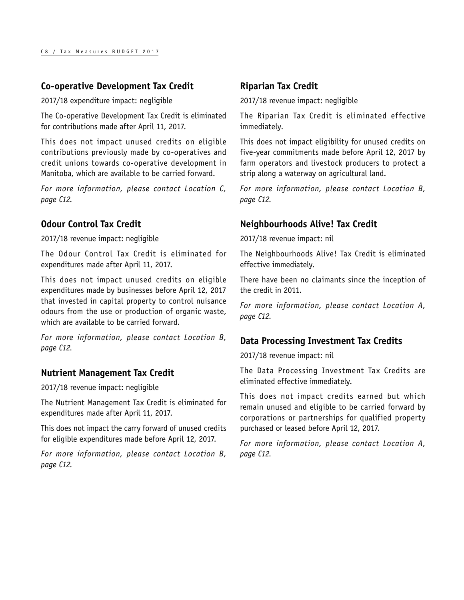## **Co-operative Development Tax Credit**

2017/18 expenditure impact: negligible

The Co-operative Development Tax Credit is eliminated for contributions made after April 11, 2017.

This does not impact unused credits on eligible contributions previously made by co-operatives and credit unions towards co-operative development in Manitoba, which are available to be carried forward.

*For more information, please contact Location C, page [C12.](#page-13-1)*

# **Odour Control Tax Credit**

2017/18 revenue impact: negligible

The Odour Control Tax Credit is eliminated for expenditures made after April 11, 2017.

This does not impact unused credits on eligible expenditures made by businesses before April 12, 2017 that invested in capital property to control nuisance odours from the use or production of organic waste, which are available to be carried forward.

*For more information, please contact Location B, page [C12.](#page-13-1)*

### **Nutrient Management Tax Credit**

2017/18 revenue impact: negligible

The Nutrient Management Tax Credit is eliminated for expenditures made after April 11, 2017.

This does not impact the carry forward of unused credits for eligible expenditures made before April 12, 2017.

*For more information, please contact Location B, page [C12.](#page-13-1)*

# **Riparian Tax Credit**

2017/18 revenue impact: negligible

The Riparian Tax Credit is eliminated effective immediately.

This does not impact eligibility for unused credits on five-year commitments made before April 12, 2017 by farm operators and livestock producers to protect a strip along a waterway on agricultural land.

*For more information, please contact Location B, page [C12](#page-13-1).*

### **Neighbourhoods Alive! Tax Credit**

2017/18 revenue impact: nil

The Neighbourhoods Alive! Tax Credit is eliminated effective immediately.

There have been no claimants since the inception of the credit in 2011.

*For more information, please contact Location A, page [C12](#page-13-1).*

# **Data Processing Investment Tax Credits**

2017/18 revenue impact: nil

The Data Processing Investment Tax Credits are eliminated effective immediately.

This does not impact credits earned but which remain unused and eligible to be carried forward by corporations or partnerships for qualified property purchased or leased before April 12, 2017.

*For more information, please contact Location A, page [C12](#page-13-1).*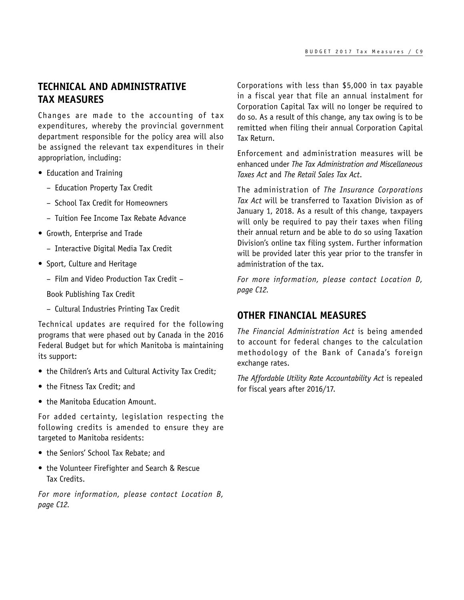# <span id="page-10-0"></span>**TECHNICAL AND ADMINISTRATIVE TAX MEASURES**

Changes are made to the accounting of tax expenditures, whereby the provincial government department responsible for the policy area will also be assigned the relevant tax expenditures in their appropriation, including:

- Education and Training
	- Education Property Tax Credit
	- School Tax Credit for Homeowners
	- Tuition Fee Income Tax Rebate Advance
- Growth, Enterprise and Trade
	- Interactive Digital Media Tax Credit
- Sport, Culture and Heritage
	- Film and Video Production Tax Credit –

Book Publishing Tax Credit

– Cultural Industries Printing Tax Credit

Technical updates are required for the following programs that were phased out by Canada in the 2016 Federal Budget but for which Manitoba is maintaining its support:

- the Children's Arts and Cultural Activity Tax Credit;
- the Fitness Tax Credit; and
- the Manitoba Education Amount.

For added certainty, legislation respecting the following credits is amended to ensure they are targeted to Manitoba residents:

- the Seniors' School Tax Rebate; and
- the Volunteer Firefighter and Search & Rescue Tax Credits.

*For more information, please contact Location B, page [C12.](#page-13-1)*

Corporations with less than \$5,000 in tax payable in a fiscal year that file an annual instalment for Corporation Capital Tax will no longer be required to do so. As a result of this change, any tax owing is to be remitted when filing their annual Corporation Capital Tax Return.

Enforcement and administration measures will be enhanced under *The Tax Administration and Miscellaneous Taxes Act* and *The Retail Sales Tax Act*.

The administration of *The Insurance Corporations Tax Act* will be transferred to Taxation Division as of January 1, 2018. As a result of this change, taxpayers will only be required to pay their taxes when filing their annual return and be able to do so using Taxation Division's online tax filing system. Further information will be provided later this year prior to the transfer in administration of the tax.

*For more information, please contact Location D, page [C12.](#page-13-1)*

### **OTHER FINANCIAL MEASURES**

*The Financial Administration Act* is being amended to account for federal changes to the calculation methodology of the Bank of Canada's foreign exchange rates.

*The Affordable Utility Rate Accountability Act* is repealed for fiscal years after 2016/17.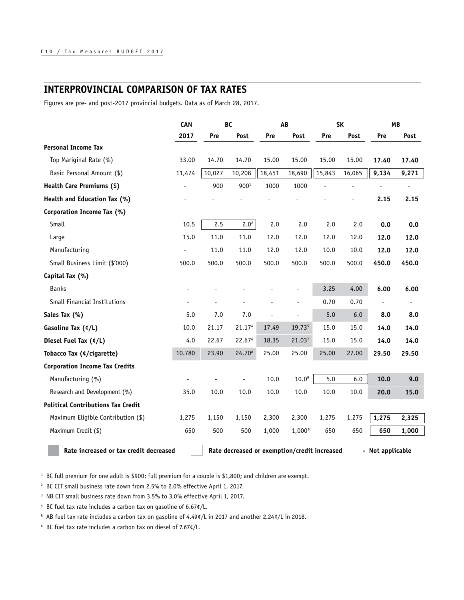# <span id="page-11-0"></span>**INTERPROVINCIAL COMPARISON OF TAX RATES**

Figures are pre- and post-2017 provincial budgets. Data as of March 28, 2017.

|                                           | CAN<br>BC |        | AB                                           |        | <b>SK</b>     |        | <b>MB</b> |                  |       |
|-------------------------------------------|-----------|--------|----------------------------------------------|--------|---------------|--------|-----------|------------------|-------|
|                                           | 2017      | Pre    | Post                                         | Pre    | Post          | Pre    | Post      | Pre              | Post  |
| <b>Personal Income Tax</b>                |           |        |                                              |        |               |        |           |                  |       |
| Top Mariginal Rate (%)                    | 33.00     | 14.70  | 14.70                                        | 15.00  | 15.00         | 15.00  | 15.00     | 17.40            | 17.40 |
| Basic Personal Amount (\$)                | 11,474    | 10,027 | 10,208                                       | 18,451 | 18,690        | 15,843 | 16,065    | 9,134            | 9,271 |
| Health Care Premiums (\$)                 |           | 900    | 900 <sup>1</sup>                             | 1000   | 1000          |        |           |                  |       |
| Health and Education Tax (%)              |           |        |                                              |        |               |        |           | 2.15             | 2.15  |
| Corporation Income Tax (%)                |           |        |                                              |        |               |        |           |                  |       |
| Small                                     | 10.5      | 2.5    | 2.0 <sup>2</sup>                             | 2.0    | 2.0           | 2.0    | 2.0       | 0.0              | 0.0   |
| Large                                     | 15.0      | 11.0   | 11.0                                         | 12.0   | 12.0          | 12.0   | 12.0      | 12.0             | 12.0  |
| Manufacturing                             |           | 11.0   | 11.0                                         | 12.0   | 12.0          | 10.0   | 10.0      | 12.0             | 12.0  |
| Small Business Limit (\$'000)             | 500.0     | 500.0  | 500.0                                        | 500.0  | 500.0         | 500.0  | 500.0     | 450.0            | 450.0 |
| Capital Tax (%)                           |           |        |                                              |        |               |        |           |                  |       |
| <b>Banks</b>                              |           |        |                                              |        |               | 3.25   | 4.00      | 6.00             | 6.00  |
| Small Financial Institutions              |           |        |                                              |        |               | 0.70   | 0.70      |                  |       |
| Sales Tax (%)                             | 5.0       | 7.0    | 7.0                                          |        | $\frac{1}{2}$ | 5.0    | 6.0       | 8.0              | 8.0   |
| Gasoline Tax (¢/L)                        | 10.0      | 21.17  | 21.174                                       | 17.49  | 19.735        | 15.0   | 15.0      | 14.0             | 14.0  |
| Diesel Fuel Tax (¢/L)                     | 4.0       | 22.67  | 22.676                                       | 18.35  | 21.037        | 15.0   | 15.0      | 14.0             | 14.0  |
| Tobacco Tax (¢/cigarette)                 | 10.780    | 23.90  | 24.708                                       | 25.00  | 25.00         | 25.00  | 27.00     | 29.50            | 29.50 |
| <b>Corporation Income Tax Credits</b>     |           |        |                                              |        |               |        |           |                  |       |
| Manufacturing (%)                         |           |        |                                              | 10.0   | $10.0^9$      | 5.0    | $6.0\,$   | 10.0             | 9.0   |
| Research and Development (%)              | 35.0      | 10.0   | 10.0                                         | 10.0   | 10.0          | 10.0   | 10.0      | 20.0             | 15.0  |
| <b>Political Contributions Tax Credit</b> |           |        |                                              |        |               |        |           |                  |       |
| Maximum Eligible Contribution (\$)        | 1,275     | 1,150  | 1,150                                        | 2,300  | 2,300         | 1,275  | 1,275     | 1,275            | 2,325 |
| Maximum Credit (\$)                       | 650       | 500    | 500                                          | 1,000  | 1,00010       | 650    | 650       | 650              | 1,000 |
| Rate increased or tax credit decreased    |           |        | Rate decreased or exemption/credit increased |        |               |        |           | - Not applicable |       |

<sup>1</sup> BC full premium for one adult is \$900; full premium for a couple is \$1,800; and children are exempt.

<sup>2</sup> BC CIT small business rate down from 2.5% to 2.0% effective April 1, 2017.

<sup>3</sup> NB CIT small business rate down from 3.5% to 3.0% effective April 1, 2017.

4 BC fuel tax rate includes a carbon tax on gasoline of 6.67¢/L.

5 AB fuel tax rate includes a carbon tax on gasoline of 4.49¢/L in 2017 and another 2.24¢/L in 2018.

6 BC fuel tax rate includes a carbon tax on diesel of 7.67¢/L.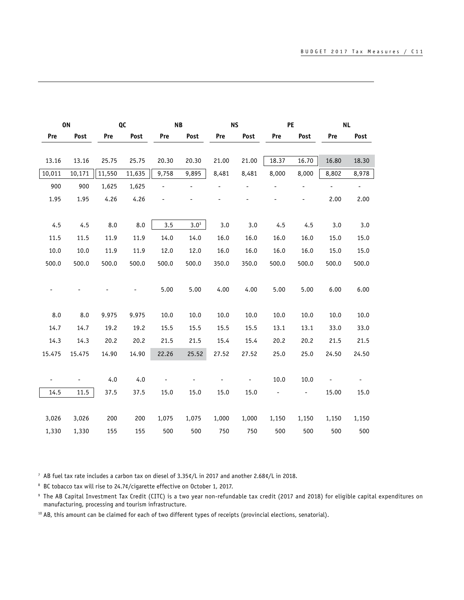|        | ON                           |        | QC     |       | <b>NB</b> |       | <b>NS</b>      |       | PE    | <b>NL</b> |                |
|--------|------------------------------|--------|--------|-------|-----------|-------|----------------|-------|-------|-----------|----------------|
| Pre    | Post                         | Pre    | Post   | Pre   | Post      | Pre   | Post           | Pre   | Post  | Pre       | Post           |
|        |                              |        |        |       |           |       |                |       |       |           |                |
| 13.16  | 13.16                        | 25.75  | 25.75  | 20.30 | 20.30     | 21.00 | 21.00          | 18.37 | 16.70 | 16.80     | 18.30          |
| 10,011 | 10,171                       | 11,550 | 11,635 | 9,758 | 9,895     | 8,481 | 8,481          | 8,000 | 8,000 | 8,802     | 8,978          |
| 900    | 900                          | 1,625  | 1,625  |       |           |       |                |       |       | ÷,        | $\blacksquare$ |
| 1.95   | 1.95                         | 4.26   | 4.26   |       |           |       |                |       |       | 2.00      | 2.00           |
|        |                              |        |        |       |           |       |                |       |       |           |                |
| 4.5    | 4.5                          | 8.0    | 8.0    | 3.5   | $3.0^3$   | 3.0   | 3.0            | 4.5   | 4.5   | 3.0       | 3.0            |
| 11.5   | 11.5                         | 11.9   | 11.9   | 14.0  | 14.0      | 16.0  | 16.0           | 16.0  | 16.0  | 15.0      | 15.0           |
| 10.0   | 10.0                         | 11.9   | 11.9   | 12.0  | 12.0      | 16.0  | 16.0           | 16.0  | 16.0  | 15.0      | 15.0           |
| 500.0  | 500.0                        | 500.0  | 500.0  | 500.0 | 500.0     | 350.0 | 350.0          | 500.0 | 500.0 | 500.0     | 500.0          |
|        |                              |        |        |       |           |       |                |       |       |           |                |
|        |                              |        |        | 5.00  | 5.00      | 4.00  | 4.00           | 5.00  | 5.00  | 6.00      | 6.00           |
|        |                              |        |        |       |           |       |                |       |       |           |                |
| 8.0    | 8.0                          | 9.975  | 9.975  | 10.0  | 10.0      | 10.0  | 10.0           | 10.0  | 10.0  | 10.0      | 10.0           |
| 14.7   | 14.7                         | 19.2   | 19.2   | 15.5  | 15.5      | 15.5  | 15.5           | 13.1  | 13.1  | 33.0      | 33.0           |
| 14.3   | 14.3                         | 20.2   | 20.2   | 21.5  | 21.5      | 15.4  | 15.4           | 20.2  | 20.2  | 21.5      | 21.5           |
| 15.475 | 15.475                       | 14.90  | 14.90  | 22.26 | 25.52     | 27.52 | 27.52          | 25.0  | 25.0  | 24.50     | 24.50          |
|        |                              |        |        |       |           |       |                |       |       |           |                |
|        | $\qquad \qquad \blacksquare$ | 4.0    | 4.0    |       |           |       | $\blacksquare$ | 10.0  | 10.0  |           |                |
|        |                              |        |        |       |           |       |                |       |       |           |                |
| 14.5   | 11.5                         | 37.5   | 37.5   | 15.0  | 15.0      | 15.0  | 15.0           |       | -     | 15.00     | 15.0           |
|        |                              |        |        |       |           |       |                |       |       |           |                |
| 3,026  | 3,026                        | 200    | 200    | 1,075 | 1,075     | 1,000 | 1,000          | 1,150 | 1,150 | 1,150     | 1,150          |
| 1,330  | 1,330                        | 155    | 155    | 500   | 500       | 750   | 750            | 500   | 500   | 500       | 500            |

7 AB fuel tax rate includes a carbon tax on diesel of 3.35¢/L in 2017 and another 2.68¢/L in 2018.

8 BC tobacco tax will rise to 24.7¢/cigarette effective on October 1, 2017.

9 The AB Capital Investment Tax Credit (CITC) is a two year non-refundable tax credit (2017 and 2018) for eligible capital expenditures on manufacturing, processing and tourism infrastructure.

<sup>10</sup> AB, this amount can be claimed for each of two different types of receipts (provincial elections, senatorial).